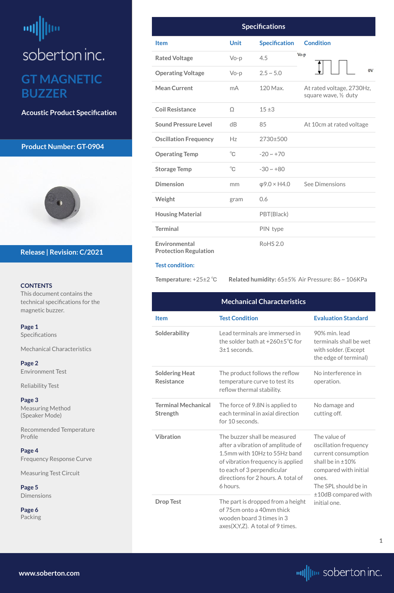# <span id="page-0-0"></span>ᆒ soberton inc. **GT MAGNETIC BUZZER**

**Acoustic Product Specification**

#### **Product Number: GT-0904**



#### **CONTENTS**

This document contains the technical specifications for the magnetic buzzer.

**Page 1** Specifications

**[Page 5](#page-4-0) [Dimensions](#page-4-0)** 

Mechanical Characteristics

**[Page 2](#page-1-0)** [Environment Test](#page-1-0)

[Reliability Test](#page-1-0)

**[Page 3](#page-2-0)** [Measuring Method](#page-2-0)  [\(Speaker Mode\)](#page-2-0)

Recommended Temperature Profile

#### **[Page 4](#page-3-0)**

Frequency Response Curve

Measuring Test Circuit

**[Page 6](#page-5-0)** [Packing](#page-5-0)

**Release | Revision: C/2021**

**[www.soberton.com](http://www.soberton.com)**



**1**

| <b>Specifications</b>                         |             |                      |                                                    |  |
|-----------------------------------------------|-------------|----------------------|----------------------------------------------------|--|
| <b>Item</b>                                   | <b>Unit</b> | <b>Specification</b> | <b>Condition</b>                                   |  |
| <b>Rated Voltage</b>                          | $Vo-p$      | 4.5                  | $V_0-p$                                            |  |
| <b>Operating Voltage</b>                      | $Vo-p$      | $2.5 \sim 5.0$       | 0V                                                 |  |
| <b>Mean Current</b>                           | mA          | 120 Max.             | At rated voltage, 2730Hz,<br>square wave, 1/2 duty |  |
| <b>Coil Resistance</b>                        | $\Omega$    | 15±3                 |                                                    |  |
| <b>Sound Pressure Level</b>                   | dB          | 85                   | At 10cm at rated voltage                           |  |
| <b>Oscillation Frequency</b>                  | Hz          | 2730±500             |                                                    |  |
| <b>Operating Temp</b>                         | $^{\circ}C$ | $-20 \sim +70$       |                                                    |  |
| <b>Storage Temp</b>                           | $^{\circ}C$ | $-30 \sim +80$       |                                                    |  |
| <b>Dimension</b>                              | mm          | $\phi$ 9.0 × H4.0    | See Dimensions                                     |  |
| Weight                                        | gram        | 0.6                  |                                                    |  |
| <b>Housing Material</b>                       |             | PBT(Black)           |                                                    |  |
| <b>Terminal</b>                               |             | PIN type             |                                                    |  |
| Environmental<br><b>Protection Regulation</b> |             | <b>RoHS 2.0</b>      |                                                    |  |

#### **Test condition:**

**Temperature:** +25±2 ℃ **Related humidity:** 65±5% Air Pressure: 86 ~ 106KPa

**Drop Test** The part is dropped from a height initial one. of 75cm onto a 40mm thick wooden board 3 times in 3 axes(X,Y,Z). A total of 9 times.

|                                            | <b>Mechanical Characteristics</b>                                                             |                                                                                          |
|--------------------------------------------|-----------------------------------------------------------------------------------------------|------------------------------------------------------------------------------------------|
| <b>Item</b>                                | <b>Test Condition</b>                                                                         | <b>Evaluation Standard</b>                                                               |
| Solderability                              | Lead terminals are immersed in<br>the solder bath at $+260\pm5^{\circ}$ C for<br>3±1 seconds. | 90% min. lead<br>terminals shall be wet<br>with solder. (Except<br>the edge of terminal) |
| <b>Soldering Heat</b><br><b>Resistance</b> | The product follows the reflow<br>temperature curve to test its<br>reflow thermal stability.  | No interference in<br>operation.                                                         |
| <b>Terminal Mechanical</b><br>Strength     | The force of 9.8N is applied to<br>each terminal in axial direction<br>for 10 seconds.        | No damage and<br>cutting off.                                                            |
| <b>Vibration</b>                           | The buzzer shall be measured<br>after a vibration of amplitude of                             | The value of<br>oscillation frequency                                                    |

1.5mm with 10Hz to 55Hz band of vibration frequency is applied to each of 3 perpendicular directions for 2 hours. A total of 6 hours.

current consumption shall be in ±10% compared with initial ones. The SPL should be in ±10dB compared with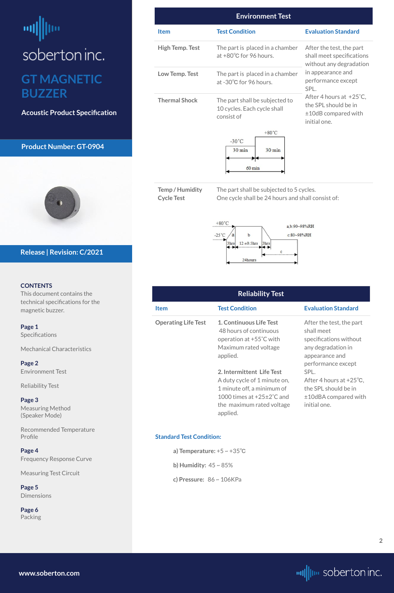# <span id="page-1-0"></span>ᆒ soberton inc. **GT MAGNETIC BUZZER**

**Acoustic Product Specification**

#### **Product Number: GT-0904**



#### **CONTENTS**

This document contains the technical specifications for the magnetic buzzer.

**[Page 1](#page-0-0)** [Specifications](#page-0-0) 

[Mechanical Characteristics](#page-0-0)

**Page 2** Environment Test

Reliability Test

**[Page 3](#page-2-0)** [Measuring Method](#page-2-0)  [\(Speaker Mode\)](#page-2-0)

Recommended Temperature Profile

#### **[Page 4](#page-3-0)**

Frequency Response Curve

Measuring Test Circuit

**[Page 5](#page-4-0)** [Dimensions](#page-4-0)

**[Page 6](#page-5-0)** [Packing](#page-5-0)

#### **Release | Revision: C/2021**

**[www.soberton.com](http://www.soberton.com)**



| <b>Environment Test</b> |                                                                                      |                                                                                                                                                                                                                                     |  |  |
|-------------------------|--------------------------------------------------------------------------------------|-------------------------------------------------------------------------------------------------------------------------------------------------------------------------------------------------------------------------------------|--|--|
| <b>Item</b>             | <b>Test Condition</b>                                                                | <b>Evaluation Standard</b>                                                                                                                                                                                                          |  |  |
| <b>High Temp. Test</b>  | The part is placed in a chamber<br>at +80°C for 96 hours.                            | After the test, the part<br>shall meet specifications<br>without any degradation<br>in appearance and<br>performance except<br>SPL.<br>After 4 hours at +25°C,<br>the SPL should be in<br>$\pm 10$ dB compared with<br>initial one. |  |  |
| Low Temp. Test          | The part is placed in a chamber<br>at -30°C for 96 hours.                            |                                                                                                                                                                                                                                     |  |  |
| <b>Thermal Shock</b>    | The part shall be subjected to<br>10 cycles. Each cycle shall<br>consist of          |                                                                                                                                                                                                                                     |  |  |
|                         | $+80^{\circ}$ C<br>$-30^{\circ}$ C<br>30 min<br>$30 \text{ min}$<br>$60 \text{ min}$ |                                                                                                                                                                                                                                     |  |  |

**Temp / Humidity Cycle Test**

The part shall be subjected to 5 cycles. One cycle shall be 24 hours and shall consist of:



| <b>Reliability Test</b>    |                                                                                                                                                                                                                                                                                               |                                                                                                                                                                                                                                             |  |
|----------------------------|-----------------------------------------------------------------------------------------------------------------------------------------------------------------------------------------------------------------------------------------------------------------------------------------------|---------------------------------------------------------------------------------------------------------------------------------------------------------------------------------------------------------------------------------------------|--|
| <b>Item</b>                | <b>Test Condition</b>                                                                                                                                                                                                                                                                         | <b>Evaluation Standard</b>                                                                                                                                                                                                                  |  |
| <b>Operating Life Test</b> | 1. Continuous Life Test<br>48 hours of continuous<br>operation at +55°C with<br>Maximum rated voltage<br>applied.<br>2. Intermittent Life Test<br>A duty cycle of 1 minute on,<br>1 minute off, a minimum of<br>1000 times at $+25\pm2\degree$ C and<br>the maximum rated voltage<br>applied. | After the test, the part<br>shall meet<br>specifications without<br>any degradation in<br>appearance and<br>performance except<br>SPL.<br>After 4 hours at $+25^{\circ}$ C,<br>the SPL should be in<br>±10dBA compared with<br>initial one. |  |

**Standard Test Condition:**

**a) Temperature:** +5 ~ +35℃

**b) Humidity:** 45 ~ 85%

**c) Pressure:** 86 ~ 106KPa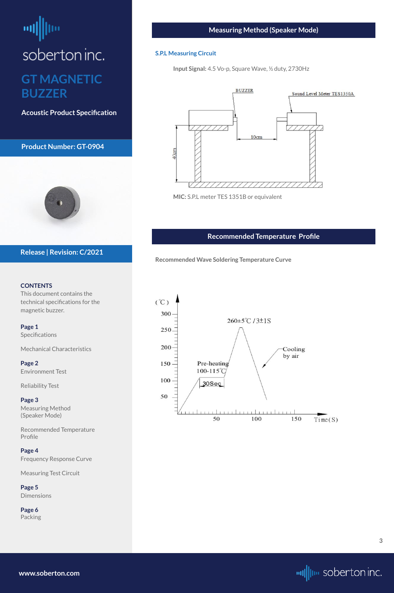# <span id="page-2-0"></span>soberton inc. **GT MAGNETIC BUZZER**

**Acoustic Product Specification**

**Product Number: GT-0904**



#### **CONTENTS**

This document contains the technical specifications for the magnetic buzzer.

**[Page 1](#page-0-0)** [Specifications](#page-0-0) 

**[Page 5](#page-4-0) [Dimensions](#page-4-0)** 

[Mechanical Characteristics](#page-0-0)

**[Page 2](#page-1-0)** [Environment Test](#page-1-0)

[Reliability Test](#page-1-0)

**Page 3** Measuring Method (Speaker Mode)

Recommended Temperature Profile

#### **[Page 4](#page-3-0)**

Frequency Response Curve

Measuring Test Circuit

**[Page 6](#page-5-0)** [Packing](#page-5-0)

**Release | Revision: C/2021**

#### **Measuring Method (Speaker Mode)**

#### **S.P.L Measuring Circuit**

**Input Signal:** 4.5 Vo-p, Square Wave, ½ duty, 2730Hz



**MIC:** S.P.L meter TES 1351B or equivalent

**[www.soberton.com](http://www.soberton.com)**



#### **Recommended Temperature Profile**

**Recommended Wave Soldering Temperature Curve**

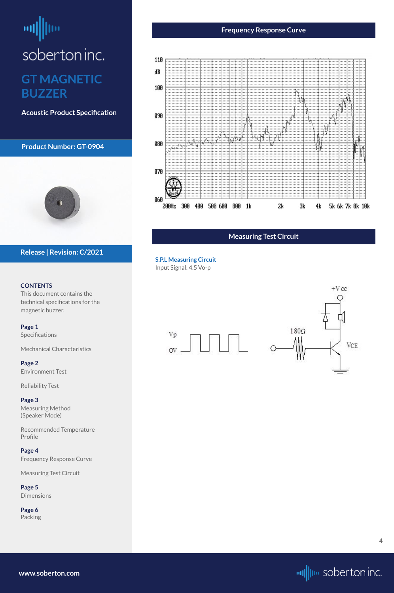### <span id="page-3-0"></span>шļ soberton inc. **GT MAGNETIC BUZZER**

**Acoustic Product Specification**

#### **Product Number: GT-0904**



#### **CONTENTS**

This document contains the technical specifications for the magnetic buzzer.

**[Page 1](#page-0-0)** [Specifications](#page-0-0) 

[Mechanical Characteristics](#page-0-0)

**[Page 2](#page-1-0)** [Environment Test](#page-1-0)

[Reliability Test](#page-1-0)

**[Page 3](#page-2-0)** [Measuring Method](#page-2-0)  [\(Speaker Mode\)](#page-2-0)

Recommended Temperature Profile

#### **Page 4**

Frequency Response Curve

Measuring Test Circuit

**[Page 5](#page-4-0)** [Dimensions](#page-4-0)

**[Page 6](#page-5-0)** [Packing](#page-5-0)

#### **Release | Revision: C/2021**

#### **Frequency Response Curve**



**[www.soberton.com](http://www.soberton.com)**



**4**

#### **Measuring Test Circuit**

**S.P.L Measuring Circuit** Input Signal: 4.5 Vo-p

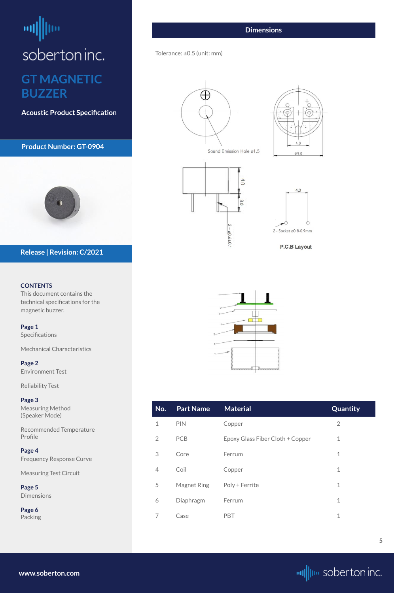# <span id="page-4-0"></span> $\left| \mathbf{u} \right|$ soberton inc. **GT MAGNETIC BUZZER**

**Acoustic Product Specification**

#### **Product Number: GT-0904**



#### **CONTENTS**

This document contains the technical specifications for the magnetic buzzer.

**[Page 1](#page-0-0)** [Specifications](#page-0-0) 

[Mechanical Characteristics](#page-0-0)

**[Page 2](#page-1-0)** [Environment Test](#page-1-0)

[Reliability Test](#page-1-0)

**[Page 3](#page-2-0)** [Measuring Method](#page-2-0)  [\(Speaker Mode\)](#page-2-0)

Recommended Temperature Profile

| Page 4                          |
|---------------------------------|
| <b>Frequency Response Curve</b> |
| <b>Measuring Test Circuit</b>   |
| Page 5                          |
| <b>Dimensions</b>               |

**[Page 6](#page-5-0)** [Packing](#page-5-0)

**Release | Revision: C/2021**

**[www.soberton.com](http://www.soberton.com)**



| No. | <b>Part Name</b> | <b>Material</b>                  | Quantity |
|-----|------------------|----------------------------------|----------|
|     | <b>PIN</b>       | Copper                           |          |
|     | PC <sub>R</sub>  | Epoxy Glass Fiber Cloth + Copper |          |

| 3              | Core               | Ferrum         | $\mathbf 1$  |
|----------------|--------------------|----------------|--------------|
| $\overline{4}$ | Coil               | Copper         | $\mathbf{1}$ |
| 5              | <b>Magnet Ring</b> | Poly + Ferrite | $\mathbf 1$  |
| 6              | Diaphragm          | Ferrum         | $\mathbf 1$  |
| 7              | Case               | <b>PBT</b>     | $\mathbf 1$  |
|                |                    |                |              |

#### **Dimensions**

#### Tolerance: ±0.5 (unit: mm)









**P.C.B Layout**